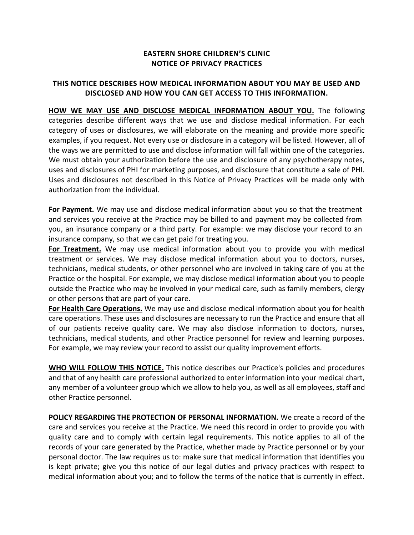## **EASTERN SHORE CHILDREN'S CLINIC NOTICE OF PRIVACY PRACTICES**

## **THIS NOTICE DESCRIBES HOW MEDICAL INFORMATION ABOUT YOU MAY BE USED AND DISCLOSED AND HOW YOU CAN GET ACCESS TO THIS INFORMATION.**

**HOW WE MAY USE AND DISCLOSE MEDICAL INFORMATION ABOUT YOU.** The following categories describe different ways that we use and disclose medical information. For each category of uses or disclosures, we will elaborate on the meaning and provide more specific examples, if you request. Not every use or disclosure in a category will be listed. However, all of the ways we are permitted to use and disclose information will fall within one of the categories. We must obtain your authorization before the use and disclosure of any psychotherapy notes, uses and disclosures of PHI for marketing purposes, and disclosure that constitute a sale of PHI. Uses and disclosures not described in this Notice of Privacy Practices will be made only with authorization from the individual.

**For Payment.** We may use and disclose medical information about you so that the treatment and services you receive at the Practice may be billed to and payment may be collected from you, an insurance company or a third party. For example: we may disclose your record to an insurance company, so that we can get paid for treating you.

**For Treatment.** We may use medical information about you to provide you with medical treatment or services. We may disclose medical information about you to doctors, nurses, technicians, medical students, or other personnel who are involved in taking care of you at the Practice or the hospital. For example, we may disclose medical information about you to people outside the Practice who may be involved in your medical care, such as family members, clergy or other persons that are part of your care.

For Health Care Operations. We may use and disclose medical information about you for health care operations. These uses and disclosures are necessary to run the Practice and ensure that all of our patients receive quality care. We may also disclose information to doctors, nurses, technicians, medical students, and other Practice personnel for review and learning purposes. For example, we may review your record to assist our quality improvement efforts.

**WHO WILL FOLLOW THIS NOTICE.** This notice describes our Practice's policies and procedures and that of any health care professional authorized to enter information into your medical chart, any member of a volunteer group which we allow to help you, as well as all employees, staff and other Practice personnel.

**POLICY REGARDING THE PROTECTION OF PERSONAL INFORMATION.** We create a record of the care and services you receive at the Practice. We need this record in order to provide you with quality care and to comply with certain legal requirements. This notice applies to all of the records of your care generated by the Practice, whether made by Practice personnel or by your personal doctor. The law requires us to: make sure that medical information that identifies you is kept private; give you this notice of our legal duties and privacy practices with respect to medical information about you; and to follow the terms of the notice that is currently in effect.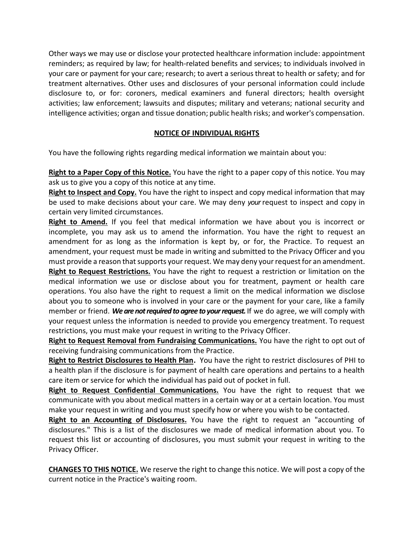Other ways we may use or disclose your protected healthcare information include: appointment reminders; as required by law; for health-related benefits and services; to individuals involved in your care or payment for your care; research; to avert a serious threat to health or safety; and for treatment alternatives. Other uses and disclosures of your personal information could include disclosure to, or for: coroners, medical examiners and funeral directors; health oversight activities; law enforcement; lawsuits and disputes; military and veterans; national security and intelligence activities; organ and tissue donation; public health risks; and worker's compensation.

## **NOTICE OF INDIVIDUAL RIGHTS**

You have the following rights regarding medical information we maintain about you:

**Right to a Paper Copy of this Notice.** You have the right to a paper copy of this notice. You may ask us to give you a copy of this notice at any time.

**Right to Inspect and Copy.** You have the right to inspect and copy medical information that may be used to make decisions about your care. We may deny *your*request to inspect and copy in certain very limited circumstances.

**Right to Amend.** If you feel that medical information we have about you is incorrect or incomplete, you may ask us to amend the information. You have the right to request an amendment for as long as the information is kept by, or for, the Practice. To request an amendment, your request must be made in writing and submitted to the Privacy Officer and you must provide a reason that supports your request. We may deny your request for an amendment.

**Right to Request Restrictions.** You have the right to request a restriction or limitation on the medical information we use or disclose about you for treatment, payment or health care operations. You also have the right to request a limit on the medical information we disclose about you to someone who is involved in your care or the payment for your care, like a family member or friend. *We are not required to agree to your request.*If we do agree, we will comply with your request unless the information is needed to provide you emergency treatment. To request restrictions, you must make your request in writing to the Privacy Officer.

**Right to Request Removal from Fundraising Communications.** You have the right to opt out of receiving fundraising communications from the Practice.

**Right to Restrict Disclosures to Health Plan.** You have the right to restrict disclosures of PHI to a health plan if the disclosure is for payment of health care operations and pertains to a health care item or service for which the individual has paid out of pocket in full.

**Right to Request Confidential Communications.** You have the right to request that we communicate with you about medical matters in a certain way or at a certain location. You must make your request in writing and you must specify how or where you wish to be contacted.

**Right to an Accounting of Disclosures.** You have the right to request an "accounting of disclosures." This is a list of the disclosures we made of medical information about you. To request this list or accounting of disclosures, you must submit your request in writing to the Privacy Officer.

**CHANGES TO THIS NOTICE.** We reserve the right to change this notice. We will post a copy of the current notice in the Practice's waiting room.